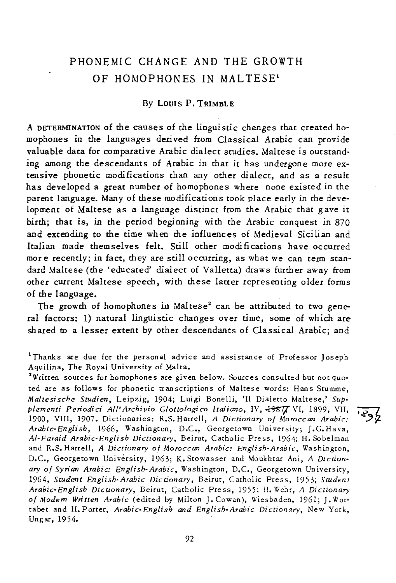## PHONEMIC CHANGE AND THE GROWTH OF HOMOPHONES IN MALTESE<sup>1</sup>

## By LOUIS P. TRIMBLE

A DETERMINATION of the causes of the linguistic changes that created homophones in the languages derived from Classical Arabic can provide valuable data for comparative Arabic dialect *studies.* Maltese *is* outstanding among the descendants of Arabic in that *it* has undergone more extensive phonetic modifications than any other dialect, and as a result has developed a great number of homophones where none existed in the parent language. Many of these modifications took place early in the development of Maltese as a language distinct from the Arabic that gave *it*  birth; that is, in the period beginning with the Arabic conquest in 870 and extending to the time when the influences of Medieval Sicilian and Italian made themselves felt. *Still* other modi fications have occurred mor e recently; in fact, they are *still* occurring, as what we can term standard Maltese (the 'educated' dialect of Valletta) draws further away from other current Maltese speech, with these latter representing older forms of the language.

The growth of homophones in Maltese<sup>2</sup> can be attributed to two general factors: 1) natural linguistic changes over *time,* some of which are shared to a lesser extent by other descendants of Classical Arabic; and

<sup>&</sup>lt;sup>2</sup>Written sources for homophones are given below. Sources consulted but not quoted are as follows for phonetic transcriptions of Maltese words: Hans Stumme, *Maltesische Studien,* Leipzig, 1904; Luigi Bonelli, 'Il Dialetto Maltese,' *Sup*plementi Periodici All'Archivio Glottologico Italiano, IV, 49877 VI, 1899, VII, 1900, VIII, 1907. Dictionaries: R.S. Harrell, *A Dictionary* 0/ *Moroccan Arabic; Arabic-English,* 1966, Washington, D.C., Georgetown University; J.G.Hava, *AI-Faraid Arabic'English Dictionary,* Beirut, Catholic Press, 1964; H. Sobelman and R.S. Harrell, *A Dictionary* 0/ *Moroccan Arabic: English-Arabic,* Washington, D.C., Georgetown University, 1963; K. Stowasser and Moukhtar Ani, *A Dictionary* 0/ *Syrian Arabic: English-Arabic,* Washington, D.C., Georgetown University, *1964, Student English-Arabic Dictionary,* Beirut, Catholic Press, 1953; *Student Arabic-English Dictionary,* Beirut, Catholic Press, 1955; H. Wehr, *A Dictionary 0/ Modem Written Arabic* (edited by Milton J. Cowan), Wiesbaden, 1961; J. Wortabet and H. Porter, *Arabic-English and English-Arabic Dictionary,* New York, Ungar, 1954.



<sup>&</sup>lt;sup>1</sup>Thanks are due for the personal advice and assistance of Professor Joseph Aquilina, The Royal University of Malta.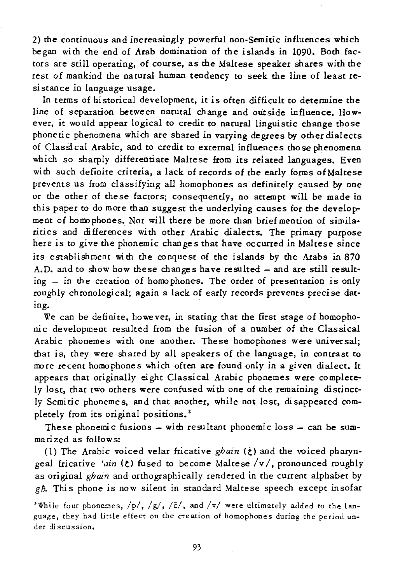2) the continuous and increasingly powerful non-Semitic influences which be gan with the end of Arab domination of the islands in 1090. Both factors are still operating, of course, as the Maltese speaker shares with the rest of mankind the natural human tendency to seek the line of least resistance in language usage.

In terms of historical development, it is often difficult to determine the line of separation between natural change and outside influence. However, it would appear logical to credit to natural linguistic change those phonetic phenomena which are shared in varying degrees by other dialects of Classical Arabic, and to credit to external influences those phenomena which so sharply differentiate Maltese from its related languages. Even with such definite criteria, a lack of records of the early forms of Maltese prevents us from classifying all homophones as definitely caused by one or the other of these factors; consequently, no attempt will be made in this paper to do more than suggest the underlying causes for the development of homophones. Nor will there be more than briefmention of similarities and differences with other Arabic dialects. The primary purpose here is to give the phonemic changes that have occurred in Maltese since its establishment with the conquest of the islands by the Arabs in 870 A.D. and to show how these changes have resulted - and are still resulting - in the creation of homophones. The order of presentation is only roughly chronological; again a lack of early records prevents precise dat-109.

We can be definite, however, in stating that the first stage of homophonic development resulted from the fusion of a number of the Classical Arabic phonemes with one another. These homophones were universal; that is, they were shared by all speakers of the language, in contrast to more recent homophones which often are found only in a given dialect. It appears that originally eight Classical Arabic phonemes were completely lost, that two others were confused with one of the remaining distinctly Semitic phonemes, and that another, while not lost, disappeared completely from its original positions. 3

These phonemic fusions - with resultant phonemic loss - can be summarized as follows:

(1) The Arabic voiced velar fricative *ghain Ct)* and the voiced pharyngeal fricative *'ain* (t) fused to become Maltese *Iv I,* pronounced roughly as original *ghain* and orthographically rendered in the current alphabet by *gh.* Thi s phone is now silent in standard Maltese speech except insofar

<sup>3</sup> While four phonemes,  $/p/$ ,  $/g/$ ,  $/\xi/$ , and  $/\nu$  were ultimately added to the language, they had little effect on the creation of homophones during the period under discussion.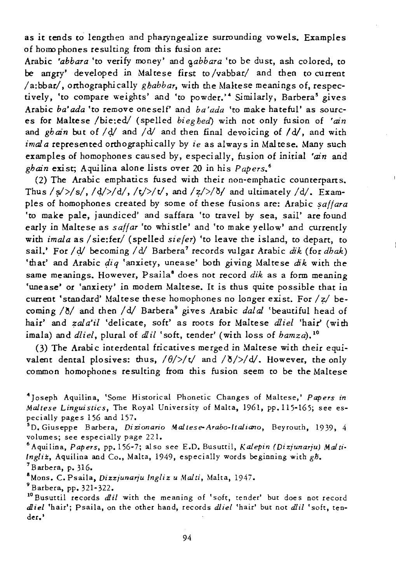as it tends to lengthen and pharyngealize surrounding vowels. Examples of homo phones resulting from *this* fusi on are:

Arabic 'abbara 'to verify money' and gabbara 'to be dust, ash colored, to be angry' developed in Maltese first to/vabbar/ and then to current la:bbar/, orthographically *ghabbar,* with the Maltese meanings of, respectively, 'to compare weights' and 'to powder.'<sup>4</sup> Similarly, Barbera<sup>5</sup> gives Arabic *ba'ada* 'to remove oneself' and *ba'ada* 'to make hateful' as sources for Maltese /bie:ed/ (spelled *bieghed*) with not only fusion of 'ain and *ghain* but of / d/ and / d/ and then final devoicing of / d/, and with *imal a* represented orthographicaIly by *ie* as always *in* Maltese. Many such examples of homophones caused by, especially, fusion of *initial 'ain* and *ghain* exist; Aquilina alone *lists* over 20 in *his Papers. <sup>6</sup>*

(2) The Arabic emphatics fused with their non-emphatic counterparts. Thus  $/s/$ >/s/,  $/d$ />/d/,  $/t$ />/t/, and  $/z$ />/ $\delta$ / and ultimately /d/. Examples of homophones created by some of these fusions are: Arabic saffara 'to make pale, jaundiced' and saffara 'to travel by sea, sail' are found early *in* Maltese as *saffar* 'co whistle' and 'to make yellow' and currently with *imala* as /sie:fer/ (spelled *sie/er*) 'to leave the island, to depart, to sail.' For / d/ becoming / d/ Barbera<sup>7</sup> records vulgar Arabic *dik* (for *dhak*) 'that' and Arabic *fjiq* 'anxiety, unease' both *giving* Maltese *dik* with the same meanings. However, Psaila<sup>8</sup> does not record *dik* as a form meaning 'unease' or 'anxiety' *in* modem Maltese. It *is* thus quite possible that in current 'standard' Maltese these homophones no longer exist. For /z/ becoming /8/ and then /d/ Barbera<sup>9</sup> gives Arabic *dal al* 'beautiful head of hair' and zala'il 'delicate, soft' as roots for Maltese dliel 'hair' (with imala) and *dliel*, plural of *dlil* 'soft, tender' (with loss of *bamza*).<sup>10</sup>

(3) The Arabic interdental *fricatives* merged in Maltese with their equivalent dental plosives: thus,  $/\theta$ />/t/ and  $/\delta$ />/d/. However, the only common homophones resulting from *this fusion* seem to be the Maltese

aMons• C. Psaila, *Dizzjunarju lngliz u Malti,* Malta, 1947.

<sup>4</sup>J oseph Aquilina, 'Some Historical Phonetic Changes of Maltese,' *Papers in Maltese Linguistics,* The Royal University of Malta, 1961, pp. 115-165; see especially pages 156 and 157.

<sup>50.</sup> Giuseppe Barbera, *Dizionario Maltese-Arabo-ltaliano,* Beyrouth, 1939, 4 volumes; see especially page 221.

<sup>6</sup> Aquilina, *Papers,* pp. 156-7; also see E.O. Busuttil, *Kalepin (Dizjunarju) Maltilngliz,* Aquilina and Co., Malta, 1949, especially words beginning with *gn.*   $7$ Barbera, p. 316.

 $<sup>9</sup>$  Barbera, pp. 321-322.</sup>

<sup>&</sup>lt;sup>10</sup> Busuttil records *dIil* with the meaning of 'soft, tender' but does not record *dIiel* 'hair'; Psaila, on the other hand, records *dliel* 'hair' but not *dlil* 'soft, tender.'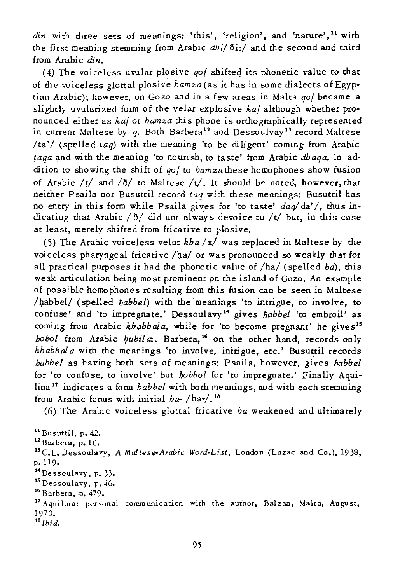din with three sets of meanings: 'this', 'religion', and 'nature',<sup>11</sup> with the first meaning stemming from Arabic *dhi*/ $\delta$ i:/ and the second and third from Arabic *din.* 

(4) The voiceless uvular plosive *qaf* shifteq its phonetic value to that of the voiceless glottal plosive *hamza* (as it has in some dialects of Egyptian Arabic); however, on Gozo and in a few areas in Malta *qaf* became a slightly uvularized form of the velar explosive *kaf* although whether pronounced either as *kaf* or *hamza* this phone is orthographically represented in current Maltese by *q*. Both Barbera<sup>12</sup> and Dessoulvay<sup>13</sup> record Maltese *Ita'l* (spelled *taq)* with the meaning 'to be diligent' coming from Arabic taga and with the meaning 'to nourish, to taste' from Arabic *dhaqa*. In addition to showing the shift of *qaf* to hamzathese homophones show fusion of Arabic I~I and *1131* to Maltese */cl.* It should be noted, however, that neither Psaila nor Busuttil record *taq* with these meanings: Busuttil has no entry in this form while Psaila gives for 'to taste' *daq/* da' *I,* thus indicating that Arabic  $\delta$  did not always devoice to /t/ but, in this case at least, merely shifted from fricative to plosive.

(5) The Arabic voiceless velar *kha/x/* was replaced in Maltese by the voiceless pharyngeal fricative /ha/ or was pronounced so weakly that for all practical purposes it had the phonetic value of *Ihal* (spelled *ha),* this weak articulation being most prominent on the island of Gozo. An example of possible homophones resulting from this fusion can be seen in Maltese /habbel/ (spelled *habbel*) with the meanings 'to intrigue, to involve, to confuse' and 'to impregnate.' Dessoulavy<sup>14</sup> gives *habbel* 'to embroil' as coming from Arabic *khabbala*, while for 'to become pregnant' he gives<sup>15</sup> *hobol* from Arabic *hubila*. Barbera,<sup>16</sup> on the other hand, records only *khabbal a* with the meanings 'to involve, intrigue, etc.' Busuttil records *habbel* as having both sets of meanings; Psaila, however, gives *habbel*  for 'to confuse, to involve' but *hobbal* for 'to impregnate.' Finally Aquilina 17 indicates a form *habbel* with both meanings, and with each stemming from Arabic forms with ini tial *ha-* /ha-/. 18

(6) The Arabic voiceless glottal fricative *ha* weakened and ultimately

11 Busuttil, p. 42. 12Barbera, p. 10. 13c.L. Dessoulavy, A *Maltese-Arabic Word-List,* London (Luzac and Co.), 1938, p.119. 14Dessoulavy, p. 33. <sup>15</sup> Dessoulavy, p. 46. 16 Barbera, p. 479. 17 Aquilina: personal communication with the author, Balzan, Malta, August, 1970. <sup>18</sup>*Ibid.*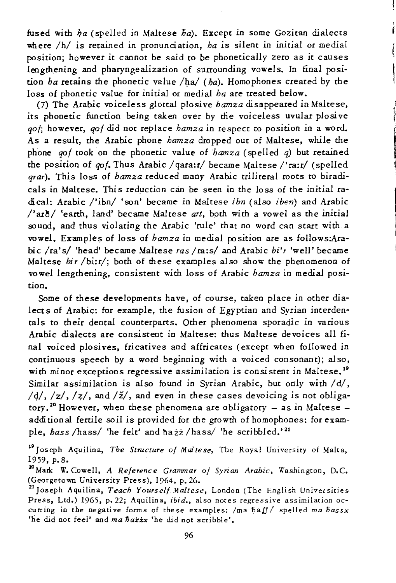fused with  $ha$  (spelled in Maltese  $\bar{b}a$ ). Except in some Gozitan dialects where *Ihl* is retained in pronunciation, *ha* is silent in initial or medial position; however it cannot be said to be phonetically zero as it causes lengthening and pharyngealization of surrounding vowels. In final position *ha* retains the phonetic value /ha/ *(ha)*. Homophones created by the loss of phonetic value for initial or medial *ha* are treated below.

(7) The Arabic voiceless glottal plosive *hamza* disappeared in Maltese, its phonetic function being taken over by die voiceless uvular plosi ve *qot;* however, *qot* did not replace *hamza* in respect to position in a word. As a result, the Arabic phone *hamza* dropped out of Maltese, while the phone *qof* took on the phonetic value of  $hamza$  (spelled *q*) but retained the position of *qot.* Thus Arabic *Iqara:rl* became Maltese *I'ra:rl* (spelled *qraT).* This loss of *hamza* reduced many Arabic triliteral roots to biradicals in Maltese. This reduction can be seen in the loss of the initial radical: Arabic *I'ibnl* 'son' became in Maltese *ibn* (also *iben)* and Arabic *I'ar'fjl* 'eanh, land' became Maltese *art,* both with a vowel as the initial sound, and thus violating the Arabic 'rule' that no word can start with a vowel. Examples of loss of *hamza* in medial position are as foIlows:Ara*bic Ira'sl* 'head' became Maltese *Tas lra:sl* and Arabic *bi'T* 'well' became Maltese *bit* /bi:r/; both of these examples also show the phenomenon of vowel lengthening, consistent with loss of Arabic *hamza* in medial position.

Some of these developments have, of course, taken place in other dialect s of Arabic: for example, the fusion of Egyptian and Syrian interdentals to their dental counterparts. Other phenomena sporadic in various Arabic dialects are consistent in Maltese: thus Maltese devoices all final voiced plosives, fricatives and affricates (except when followed in continuous speech by a word beginning with a voiced consonant); also, with minor exceptions regressive assimilation is consistent in Maltese.<sup>19</sup> Similar assimilation is also found in Syrian Arabic, but only with /d/, /d/, /z/, /z/, and /ž/, and even in these cases devoicing is not obligatory.<sup>20</sup> However, when these phenomena are obligatory  $-$  as in Maltese  $$ additional fertile soil *is* provided for the growth of homophones: for example, *hass* /hass/ 'he felt' and hazz /hass/ 'he scribbled.'<sup>21</sup>

<sup>19</sup> Joseph Aquilina, *The Structure of Maltese*, The Royal University of Malta, 1959, p.8.

<sup>&</sup>lt;sup>20</sup> Mark W. Cowell, A *Reference Grammar of Syrian Arabic*, Washington, D.C. (Georgetown University Press), 1964, p. 26.

<sup>21</sup> Joseph Aquilina, *Teach Yoursell Maltese,* London (The English Universities Press, Ltd.) 1965, p.22; Aquilina, *ibid.,* also notes regressive assimilation occurring in the negative forms of these examples: /ma haff/ spelled *ma hassx* 'he did not feel' and ma hazzx 'he did not scribble'.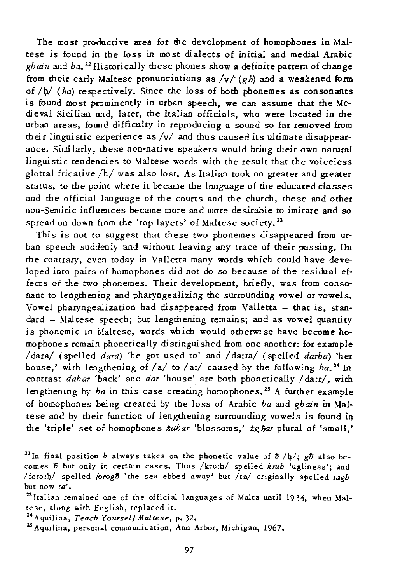The most productive area for the development of homophones in Maltese *is* found in the loss in most dialects of initial and medial Arabic *ghain* and *ha.* 22 Historically these phones show a definite pattern of change from their early Maltese pronunciations as  $/y'$  (gb) and a weakened form of /h/ (ha) respectively. Since the loss of both phonemes as consonants *is* found most prominently in urban speech, we can assume that the Medieval Sicilian and, later, the Italian officials, who were located in the urban areas, found difficulty in reproducing a sound so far removed from their linguistic experience as /v/ and thus caused its ultimate disappearance. Similarly, these non-native speakers would bring their own natural linguistic tendencies to Maltese words with the result that the voiceless glottal fricative *Ihl* was also lost. As Italian took on greater and greater status, to the point where it became the language of the educated classes and the official language of the courts and the church, these and other non-Semitic influences became more and more desirable to imitate and so spread on down from the 'top layers' of Maltese society.<sup>23</sup>

This is not to suggest that these two phonemes disappeared from urban speech suddenly and without leaving any trace of their passing. On the contrary, even today in Valletta many words which could have developed into pairs of homophones did not do so because of the residual effects of the two phonemes. Their development, briefly, was from consonant to lengthening and pharyngealizing the surrounding vowel or vowels. Vowel pharyngealization had disappeared from Valletta - that is, standard - Maltese speech; but lengthening remains; and as vowel quantity is phonemic in Maltese, words which would othetwise have become homophones remain phonetically distinguished from one another: for example *ldaral* (spelled *dara)* 'he got used to' and *Ida:ral* (spelled *darha)* 'her house,' with lengthening of /a/ to /a:/ caused by the following  $ba$ <sup>24</sup> In contrast *dahar* 'back' and *dar* 'house' are both phonetically /da:r/, with lengthening by *ha* in this case creating homophones.<sup>25</sup> A further example of homophones being created by the loss of Arabic *ha* and *ghain* in Maltese and by their function of lengthening surrounding vowels *is* found in the 'triple' set of homophones *zahar* 'blossoms,' *zg har* plural of 'small,'

<sup>22</sup> In final position *h* always takes on the phonetic value of  $\hbar / h /$ ;  $g\hbar$  also becomes *h* but only in certain cases. Thus /kru:h/ spelled *kruh* 'ugliness'; and /foro:\:I1 spelled *forogn* 'the sea ebbed away' but Ita/ originally spelled *tagFi*  but now  $ta'$ .

<sup>23</sup> Italian remained one of the official languages of Malta until 1934, when Maltese, along with English, replaced it.

24 Aquilina, *Teach Yourself Maltese,* p. 32.

25 Aquilina, personal communication, Ann Arbor, Michigan, 1967.